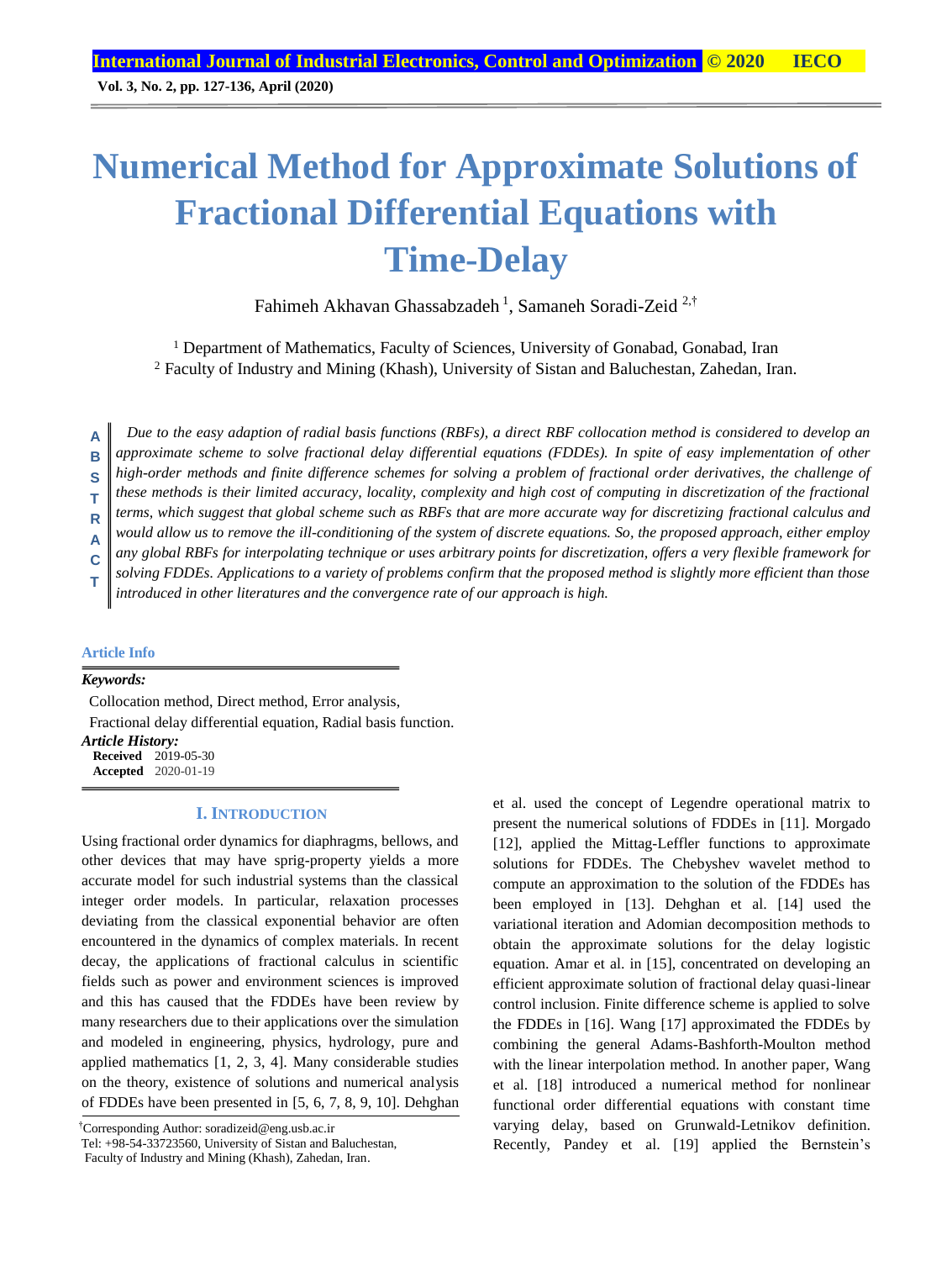# **Numerical Method for Approximate Solutions of Fractional Differential Equations with Time-Delay**

Fahimeh Akhavan Ghassabzadeh <sup>1</sup>, Samaneh Soradi-Zeid <sup>2,†</sup>

<sup>1</sup> Department of Mathematics, Faculty of Sciences, University of Gonabad, Gonabad, Iran <sup>2</sup> Faculty of Industry and Mining (Khash), University of Sistan and Baluchestan, Zahedan, Iran.

*Due to the easy adaption of radial basis functions (RBFs), a direct RBF collocation method is considered to develop an approximate scheme to solve fractional delay differential equations (FDDEs). In spite of easy implementation of other high-order methods and finite difference schemes for solving a problem of fractional order derivatives, the challenge of these methods is their limited accuracy, locality, complexity and high cost of computing in discretization of the fractional terms, which suggest that global scheme such as RBFs that are more accurate way for discretizing fractional calculus and would allow us to remove the ill-conditioning of the system of discrete equations. So, the proposed approach, either employ any global RBFs for interpolating technique or uses arbitrary points for discretization, offers a very flexible framework for solving FDDEs. Applications to a variety of problems confirm that the proposed method is slightly more efficient than those introduced in other literatures and the convergence rate of our approach is high.*  **A B S T R A C T**

**Article Info**

*Keywords:*

Collocation method, Direct method, Error analysis, Fractional delay differential equation, Radial basis function. *Article History:*

**Received** 2019-05-30 **Accepted** 2020-01-19

#### **I. INTRODUCTION**

Using fractional order dynamics for diaphragms, bellows, and other devices that may have sprig-property yields a more accurate model for such industrial systems than the classical integer order models. In particular, relaxation processes deviating from the classical exponential behavior are often encountered in the dynamics of complex materials. In recent decay, the applications of fractional calculus in scientific fields such as power and environment sciences is improved and this has caused that the FDDEs have been review by many researchers due to their applications over the simulation and modeled in engineering, physics, hydrology, pure and applied mathematics [1, 2, 3, 4]. Many considerable studies on the theory, existence of solutions and numerical analysis of FDDEs have been presented in [5, 6, 7, 8, 9, 10]. Dehghan

†Corresponding Author: soradizeid@eng.usb.ac.ir

Tel: +98-54-33723560, University of Sistan and Baluchestan,

Faculty of Industry and Mining (Khash), Zahedan, Iran.

et al. used the concept of Legendre operational matrix to present the numerical solutions of FDDEs in [11]. Morgado [12], applied the Mittag-Leffler functions to approximate solutions for FDDEs. The Chebyshev wavelet method to compute an approximation to the solution of the FDDEs has been employed in [13]. Dehghan et al. [14] used the variational iteration and Adomian decomposition methods to obtain the approximate solutions for the delay logistic equation. Amar et al. in [15], concentrated on developing an efficient approximate solution of fractional delay quasi-linear control inclusion. Finite difference scheme is applied to solve the FDDEs in [16]. Wang [17] approximated the FDDEs by combining the general Adams-Bashforth-Moulton method with the linear interpolation method. In another paper, Wang et al. [18] introduced a numerical method for nonlinear functional order differential equations with constant time varying delay, based on Grunwald-Letnikov definition. Recently, Pandey et al. [19] applied the Bernstein's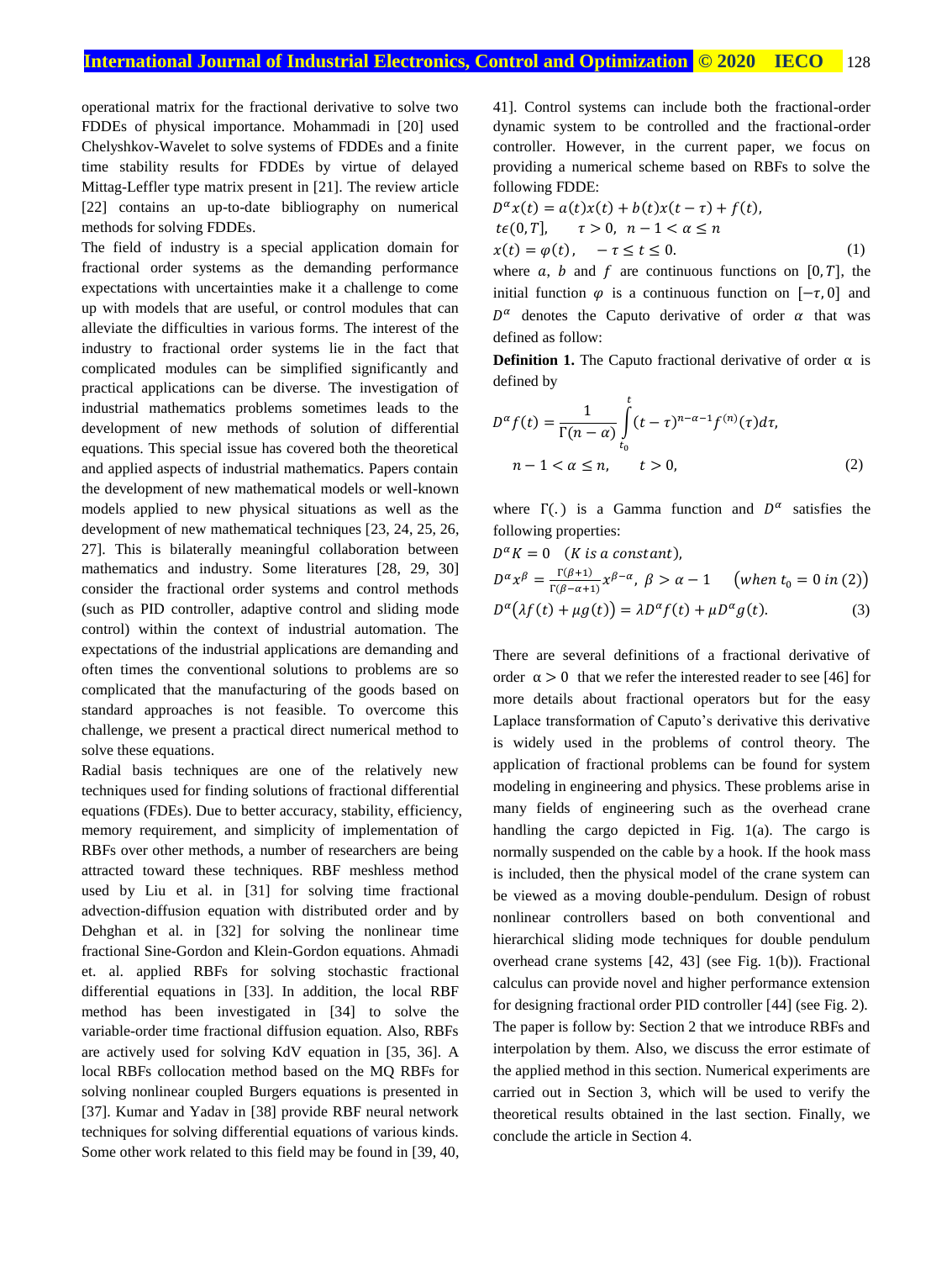operational matrix for the fractional derivative to solve two FDDEs of physical importance. Mohammadi in [20] used Chelyshkov-Wavelet to solve systems of FDDEs and a finite time stability results for FDDEs by virtue of delayed Mittag-Leffler type matrix present in [21]. The review article [22] contains an up-to-date bibliography on numerical methods for solving FDDEs.

The field of industry is a special application domain for fractional order systems as the demanding performance expectations with uncertainties make it a challenge to come up with models that are useful, or control modules that can alleviate the difficulties in various forms. The interest of the industry to fractional order systems lie in the fact that complicated modules can be simplified significantly and practical applications can be diverse. The investigation of industrial mathematics problems sometimes leads to the development of new methods of solution of differential equations. This special issue has covered both the theoretical and applied aspects of industrial mathematics. Papers contain the development of new mathematical models or well-known models applied to new physical situations as well as the development of new mathematical techniques [23, 24, 25, 26, 27]. This is bilaterally meaningful collaboration between mathematics and industry. Some literatures [28, 29, 30] consider the fractional order systems and control methods (such as PID controller, adaptive control and sliding mode control) within the context of industrial automation. The expectations of the industrial applications are demanding and often times the conventional solutions to problems are so complicated that the manufacturing of the goods based on standard approaches is not feasible. To overcome this challenge, we present a practical direct numerical method to solve these equations.

Radial basis techniques are one of the relatively new techniques used for finding solutions of fractional differential equations (FDEs). Due to better accuracy, stability, efficiency, memory requirement, and simplicity of implementation of RBFs over other methods, a number of researchers are being attracted toward these techniques. RBF meshless method used by Liu et al. in [31] for solving time fractional advection-diffusion equation with distributed order and by Dehghan et al. in [32] for solving the nonlinear time fractional Sine-Gordon and Klein-Gordon equations. Ahmadi et. al. applied RBFs for solving stochastic fractional differential equations in [33]. In addition, the local RBF method has been investigated in [34] to solve the variable-order time fractional diffusion equation. Also, RBFs are actively used for solving KdV equation in [35, 36]. A local RBFs collocation method based on the MQ RBFs for solving nonlinear coupled Burgers equations is presented in [37]. Kumar and Yadav in [38] provide RBF neural network techniques for solving differential equations of various kinds. Some other work related to this field may be found in [39, 40,

41]. Control systems can include both the fractional-order dynamic system to be controlled and the fractional-order controller. However, in the current paper, we focus on providing a numerical scheme based on RBFs to solve the following FDDE:

$$
D^{\alpha}x(t) = a(t)x(t) + b(t)x(t-\tau) + f(t),
$$
  
\n
$$
t\epsilon(0,T], \quad \tau > 0, \quad n-1 < \alpha \le n
$$
  
\n
$$
x(t) = \varphi(t), \quad -\tau \le t \le 0.
$$
 (1)

where a, b and f are continuous functions on  $[0, T]$ , the initial function  $\varphi$  is a continuous function on  $[-\tau, 0]$  and  $D^{\alpha}$  denotes the Caputo derivative of order  $\alpha$  that was defined as follow:

**Definition 1.** The Caputo fractional derivative of order  $\alpha$  is defined by

$$
D^{\alpha} f(t) = \frac{1}{\Gamma(n-\alpha)} \int_{t_0}^t (t-\tau)^{n-\alpha-1} f^{(n)}(\tau) d\tau,
$$
  
n-1 < \alpha \le n, \qquad t > 0, (2)

where  $\Gamma(.)$  is a Gamma function and  $D^{\alpha}$  satisfies the following properties:

$$
D^{\alpha}K = 0 \quad (K \text{ is a constant}),
$$
  
\n
$$
D^{\alpha}x^{\beta} = \frac{\Gamma(\beta+1)}{\Gamma(\beta-\alpha+1)}x^{\beta-\alpha}, \quad \beta > \alpha - 1 \quad \text{(when } t_0 = 0 \text{ in (2))}
$$
  
\n
$$
D^{\alpha}(\lambda f(t) + \mu g(t)) = \lambda D^{\alpha}f(t) + \mu D^{\alpha}g(t). \quad (3)
$$

There are several definitions of a fractional derivative of order  $\alpha > 0$  that we refer the interested reader to see [46] for more details about fractional operators but for the easy Laplace transformation of Caputo's derivative this derivative is widely used in the problems of control theory. The application of fractional problems can be found for system modeling in engineering and physics. These problems arise in many fields of engineering such as the overhead crane handling the cargo depicted in Fig. 1(a). The cargo is normally suspended on the cable by a hook. If the hook mass is included, then the physical model of the crane system can be viewed as a moving double-pendulum. Design of robust nonlinear controllers based on both conventional and hierarchical sliding mode techniques for double pendulum overhead crane systems [42, 43] (see Fig. 1(b)). Fractional calculus can provide novel and higher performance extension for designing fractional order PID controller [44] (see Fig. 2). The paper is follow by: Section 2 that we introduce RBFs and interpolation by them. Also, we discuss the error estimate of the applied method in this section. Numerical experiments are carried out in Section 3, which will be used to verify the theoretical results obtained in the last section. Finally, we conclude the article in Section 4.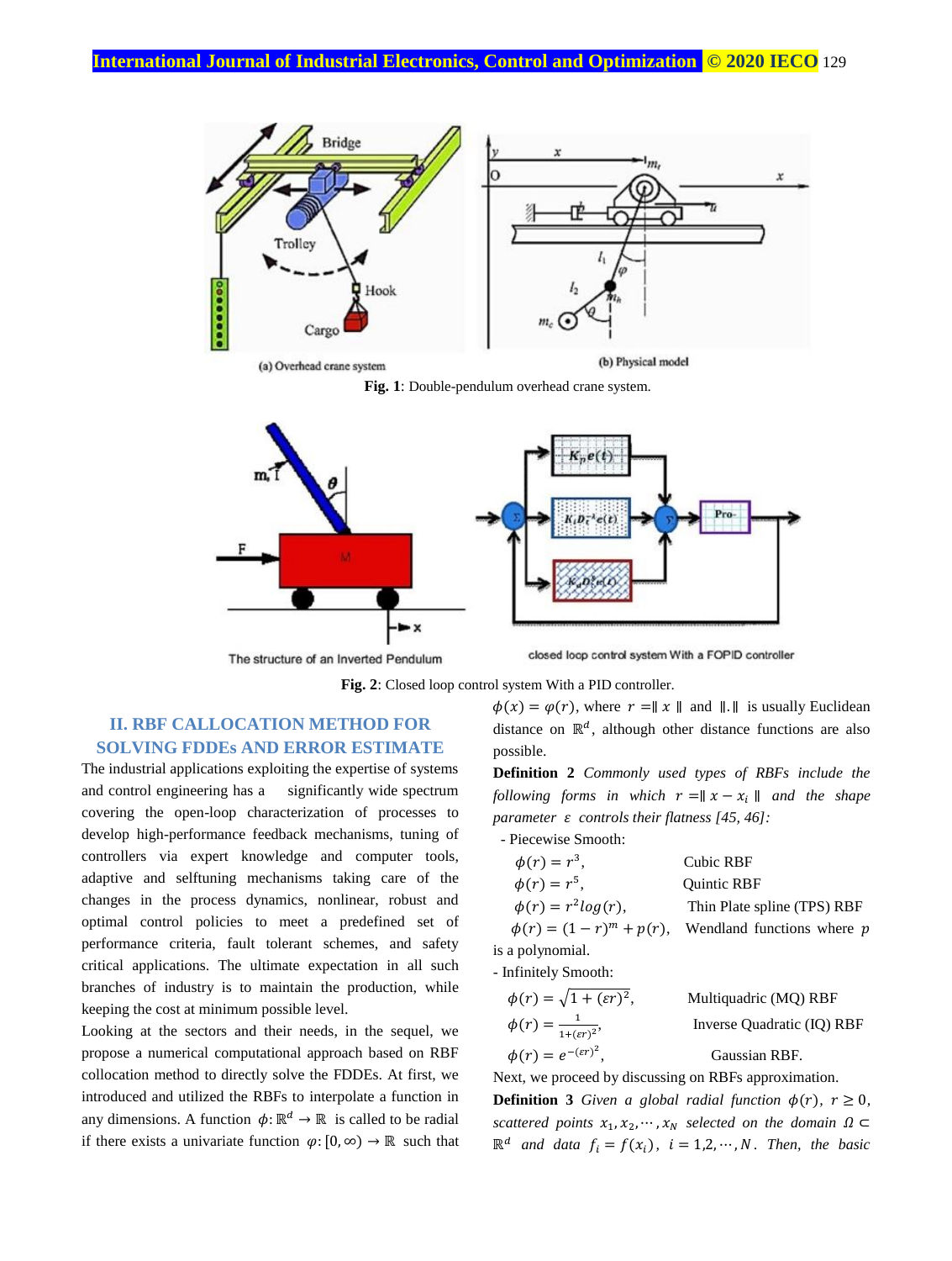

(a) Overhead crane system

(b) Physical model

**Fig. 1**: Double-pendulum overhead crane system.



The structure of an inverted Pendulum



**Fig. 2**: Closed loop control system With a PID controller.

### **II. RBF CALLOCATION METHOD FOR SOLVING FDDEs AND ERROR ESTIMATE**

The industrial applications exploiting the expertise of systems and control engineering has a significantly wide spectrum covering the open-loop characterization of processes to develop high-performance feedback mechanisms, tuning of controllers via expert knowledge and computer tools, adaptive and selftuning mechanisms taking care of the changes in the process dynamics, nonlinear, robust and optimal control policies to meet a predefined set of performance criteria, fault tolerant schemes, and safety critical applications. The ultimate expectation in all such branches of industry is to maintain the production, while keeping the cost at minimum possible level.

Looking at the sectors and their needs, in the sequel, we propose a numerical computational approach based on RBF collocation method to directly solve the FDDEs. At first, we introduced and utilized the RBFs to interpolate a function in any dimensions. A function  $\phi: \mathbb{R}^d \to \mathbb{R}$  is called to be radial if there exists a univariate function  $\varphi$ : [0, ∞)  $\rightarrow \mathbb{R}$  such that  $\phi(x) = \phi(r)$ , where  $r = ||x||$  and  $||.||$  is usually Euclidean distance on  $\mathbb{R}^d$ , although other distance functions are also possible.

**Definition 2** *Commonly used types of RBFs include the following forms in which*  $r = ||x - x_i||$  *and the shape parameter controls their flatness [45, 46]:* 

- Piecewise Smooth:

| $\phi(r) = r^3,$               | Cubic RBF                   |
|--------------------------------|-----------------------------|
| $\phi(r) = r^5,$               | <b>Ouintic RBF</b>          |
| $\phi(r) = r^2 \log(r),$       | Thin Plate spline (TPS) RBF |
| $\phi(r) = (1 - r)^m + p(r)$ , | Wendland functions where p  |
| is a polynomial.               |                             |

- Infinitely Smooth:

| $\phi(r) = \sqrt{1 + (\varepsilon r)^2},$  | Multiquadric (MQ) RBF      |  |
|--------------------------------------------|----------------------------|--|
| $\phi(r) = \frac{1}{1+(\varepsilon r)^2},$ | Inverse Quadratic (IQ) RBF |  |
| $\phi(r) = e^{-(\varepsilon r)^2}.$        | Gaussian RBF.              |  |

Next, we proceed by discussing on RBFs approximation.

**Definition 3** Given a global radial function  $\phi(r)$ ,  $r \geq 0$ , *scattered points*  $x_1, x_2, \dots, x_N$  *selected on the domain*  $\Omega \subset$  $\mathbb{R}^d$  *and data*  $f_i = f(x_i)$ ,  $i = 1, 2, \dots, N$ . Then, the basic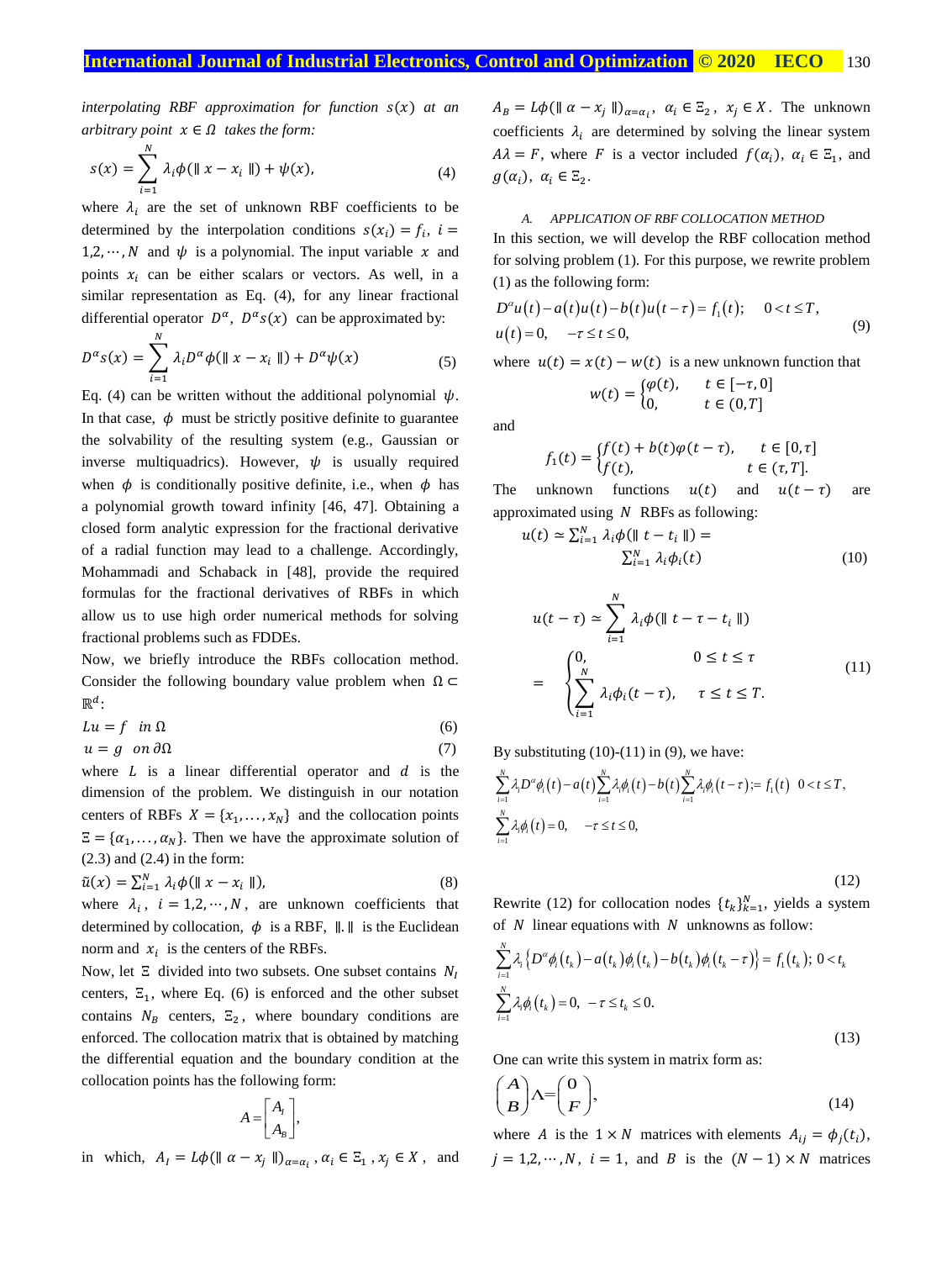$interpolating$  RBF approximation for function  $s(x)$  at an *arbitrary point*  $x \in \Omega$  *takes the form:* 

$$
s(x) = \sum_{i=1}^{N} \lambda_i \phi(\|x - x_i\|) + \psi(x),
$$
 (4)

where  $\lambda_i$  are the set of unknown RBF coefficients to be determined by the interpolation conditions  $s(x_i) = f_i$ ,  $i =$ 1,2,  $\dots$ , N and  $\psi$  is a polynomial. The input variable x and points  $x_i$  can be either scalars or vectors. As well, in a similar representation as Eq. (4), for any linear fractional differential operator  $D^{\alpha}$ ,  $D^{\alpha}s(x)$  can be approximated by:

$$
D^{\alpha} s(x) = \sum_{i=1}^{N} \lambda_i D^{\alpha} \phi(\parallel x - x_i \parallel) + D^{\alpha} \psi(x)
$$
 (5)

Eq. (4) can be written without the additional polynomial  $\psi$ . In that case,  $\phi$  must be strictly positive definite to guarantee the solvability of the resulting system (e.g., Gaussian or inverse multiquadrics). However,  $\psi$  is usually required when  $\phi$  is conditionally positive definite, i.e., when  $\phi$  has a polynomial growth toward infinity [46, 47]. Obtaining a closed form analytic expression for the fractional derivative of a radial function may lead to a challenge. Accordingly, Mohammadi and Schaback in [48], provide the required formulas for the fractional derivatives of RBFs in which allow us to use high order numerical methods for solving fractional problems such as FDDEs.

Now, we briefly introduce the RBFs collocation method. Consider the following boundary value problem when  $\Omega \subset$  $\mathbb{R}^d$ :

$$
Lu = f \quad in \ \Omega \tag{6}
$$

$$
u = g \quad on \, \partial \Omega \tag{7}
$$

where  $L$  is a linear differential operator and  $d$  is the dimension of the problem. We distinguish in our notation centers of RBFs  $X = \{x_1, \ldots, x_N\}$  and the collocation points  $\Xi = {\alpha_1, ..., \alpha_N}$ . Then we have the approximate solution of (2.3) and (2.4) in the form:

$$
\tilde{u}(x) = \sum_{i=1}^{N} \lambda_i \phi(\parallel x - x_i \parallel), \tag{8}
$$

where  $\lambda_i$ ,  $i = 1, 2, \dots, N$ , are unknown coefficients that determined by collocation,  $\phi$  is a RBF,  $\| \cdot \|$  is the Euclidean norm and  $x_i$  is the centers of the RBFs.

Now, let  $\Xi$  divided into two subsets. One subset contains  $N_I$ centers,  $\Xi_1$ , where Eq. (6) is enforced and the other subset contains  $N_B$  centers,  $\Xi_2$ , where boundary conditions are enforced. The collocation matrix that is obtained by matching the differential equation and the boundary condition at the collocation points has the following form:

$$
A = \begin{bmatrix} A_I \\ A_B \end{bmatrix},
$$

in which,  $A_I = L\phi(\|\alpha - x_j\|)_{\alpha = \alpha_i}, \alpha_i \in \Xi_1, x_j \in X$ , and

 $A_B = L\phi(\parallel \alpha - x_j \parallel)_{\alpha = \alpha_i}, \ \alpha_i \in \Xi_2, \ x_j \in X.$  The unknown coefficients  $\lambda_i$  are determined by solving the linear system  $A\lambda = F$ , where F is a vector included  $f(\alpha_i)$ ,  $\alpha_i \in \Xi_1$ , and  $g(\alpha_i), \ \alpha_i \in \Xi_2.$ 

#### *A. APPLICATION OF RBF COLLOCATION METHOD*

In this section, we will develop the RBF collocation method for solving problem (1). For this purpose, we rewrite problem (1) as the following form:

$$
D^{\alpha}u(t) - a(t)u(t) - b(t)u(t-\tau) = f_1(t); \quad 0 < t \le T,
$$
  
 
$$
u(t) = 0, \quad -\tau \le t \le 0,
$$
 (9)

where  $u(t) = x(t) - w(t)$  is a new unknown function that

$$
w(t) = \begin{cases} \varphi(t), & t \in [-\tau, 0] \\ 0, & t \in (0, T] \end{cases}
$$

and

$$
f_1(t) = \begin{cases} f(t) + b(t)\varphi(t-\tau), & t \in [0,\tau] \\ f(t), & t \in (\tau,T]. \end{cases}
$$

The unknown functions  $u(t)$  and  $u(t - \tau)$  are approximated using  $N$  RBFs as following:

$$
u(t) \simeq \sum_{i=1}^{N} \lambda_i \phi(\|t - t_i\|) =
$$
  

$$
\sum_{i=1}^{N} \lambda_i \phi_i(t)
$$
 (10)

$$
u(t-\tau) \simeq \sum_{i=1}^{N} \lambda_i \phi(\parallel t-\tau-t_i \parallel)
$$
  
= 
$$
\begin{cases} 0, & 0 \le t \le \tau \\ \sum_{i=1}^{N} \lambda_i \phi_i(t-\tau), & \tau \le t \le T. \end{cases}
$$
 (11)

By substituting (10)-(11) in (9), we have:  
\n
$$
\sum_{i=1}^{N} \lambda_{i} D^{\alpha} \phi_{i}(t) - a(t) \sum_{i=1}^{N} \lambda_{i} \phi_{i}(t) - b(t) \sum_{i=1}^{N} \lambda_{i} \phi_{i}(t-\tau) = f_{1}(t) \quad 0 < t \leq T,
$$
\n
$$
\sum_{i=1}^{N} \lambda_{i} \phi_{i}(t) = 0, \quad -\tau \leq t \leq 0,
$$

(12)

Rewrite (12) for collocation nodes  $\{t_k\}_{k=1}^N$ , yields a system of  $N$  linear equations with  $N$  unknowns as follow:

$$
\sum_{i=1}^{N} \lambda_i \left\{ D^{\alpha} \phi_i(t_k) - a(t_k) \phi_i(t_k) - b(t_k) \phi_i(t_k - \tau) \right\} = f_1(t_k); 0 < t_k
$$
  

$$
\sum_{i=1}^{N} \lambda_i \phi_i(t_k) = 0, -\tau \le t_k \le 0.
$$
\n(13)

One can write this system in matrix form as:

$$
\binom{A}{B} \Lambda = \binom{0}{F},\tag{14}
$$

where A is the  $1 \times N$  matrices with elements  $A_{ij} = \phi_j(t_i)$ ,  $j = 1,2,\dots, N, i = 1$ , and B is the  $(N - 1) \times N$  matrices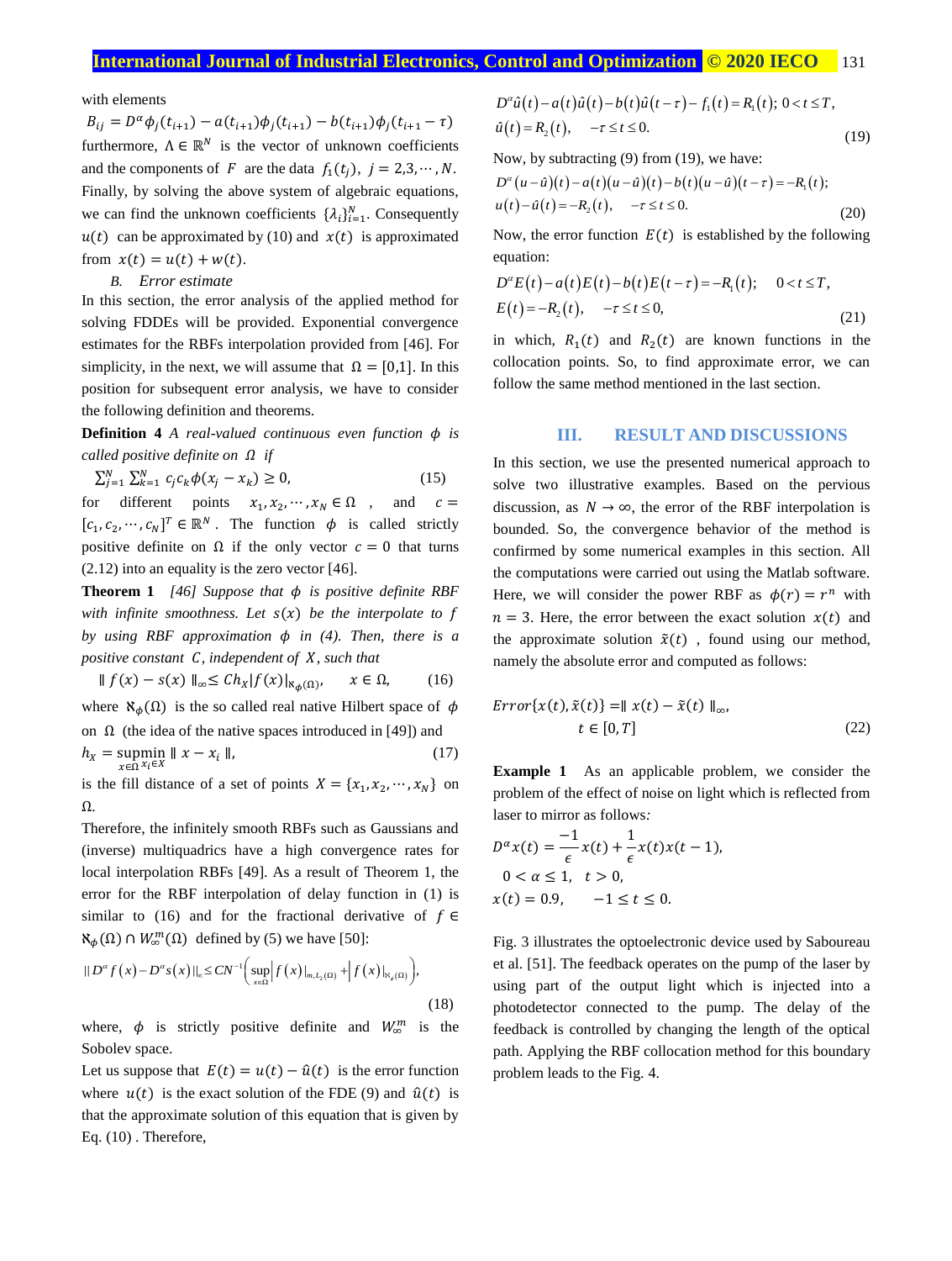with elements

 $B_{ij} = D^{\alpha} \phi_j(t_{i+1}) - a(t_{i+1}) \phi_j(t_{i+1}) - b(t_{i+1}) \phi_j(t_{i+1} - \tau)$ furthermore,  $\Lambda \in \mathbb{R}^N$  is the vector of unknown coefficients and the components of F are the data  $f_1(t_i)$ ,  $j = 2,3, \dots, N$ . Finally, by solving the above system of algebraic equations, we can find the unknown coefficients  $\{\lambda_i\}_{i=1}^N$ . Consequently  $u(t)$  can be approximated by (10) and  $x(t)$  is approximated from  $x(t) = u(t) + w(t)$ .

#### *B. Error estimate*

In this section, the error analysis of the applied method for solving FDDEs will be provided. Exponential convergence estimates for the RBFs interpolation provided from [46]. For simplicity, in the next, we will assume that  $\Omega = [0,1]$ . In this position for subsequent error analysis, we have to consider the following definition and theorems.

**Definition 4** *A real-valued continuous even function*  $\phi$  *is called positive definite on if* 

$$
\sum_{j=1}^{N} \sum_{k=1}^{N} c_j c_k \phi(x_j - x_k) \ge 0,
$$
\n(15)

for different points  $x_1, x_2, \dots, x_N \in \Omega$ , and  $c =$  $[c_1, c_2, \dots, c_N]^T \in \mathbb{R}^N$ . The function  $\phi$  is called strictly positive definite on  $\Omega$  if the only vector  $c = 0$  that turns (2.12) into an equality is the zero vector [46].

**Theorem 1** [46] Suppose that  $\phi$  is positive definite RBF *with infinite smoothness. Let*  $s(x)$  *be the interpolate to f by using RBF approximation* φ *in* (4). Then, there is a *positive constant C, independent of X, such that* 

$$
\| f(x) - s(x) \|_{\infty} \le Ch_X |f(x)|_{\aleph_{\phi}(\Omega)}, \quad x \in \Omega, \qquad (16)
$$

where  $\aleph_{\phi}(\Omega)$  is the so called real native Hilbert space of  $\phi$ on  $\Omega$  (the idea of the native spaces introduced in [49]) and  $h_X = \operatorname*{supmin}_{x \in \Omega} \| x - x_i \|,$  (17)

is the fill distance of a set of points  $X = \{x_1, x_2, \dots, x_N\}$  on Ω.

Therefore, the infinitely smooth RBFs such as Gaussians and (inverse) multiquadrics have a high convergence rates for local interpolation RBFs [49]. As a result of Theorem 1, the error for the RBF interpolation of delay function in (1) is similar to (16) and for the fractional derivative of  $f \in$  $\aleph_{\phi}(\Omega) \cap W_{\infty}^{m}(\Omega)$  defined by (5) we have [50]:

$$
||D^{\alpha} f(x) - D^{\alpha} s(x)||_{\infty} \le CN^{-1} \Big( \sup_{x \in \Omega} \Big| f(x)|_{m, L_{2}(\Omega)} + \Big| f(x)|_{\aleph_{\phi}(\Omega)} \Big), \tag{18}
$$

where,  $\phi$  is strictly positive definite and  $W_{\infty}^{m}$  is the Sobolev space.

Let us suppose that  $E(t) = u(t) - \hat{u}(t)$  is the error function where  $u(t)$  is the exact solution of the FDE (9) and  $\hat{u}(t)$  is that the approximate solution of this equation that is given by Eq. (10) . Therefore,

$$
D^{\alpha}\hat{u}(t) - a(t)\hat{u}(t) - b(t)\hat{u}(t-\tau) - f_1(t) = R_1(t); 0 < t \le T,
$$
  
\n
$$
\hat{u}(t) = R_2(t), \quad -\tau \le t \le 0.
$$
\n(19)

Now, by subtracting (9) from (19), we have:

$$
D^{\alpha}(u-\hat{u})(t) - a(t)(u-\hat{u})(t) - b(t)(u-\hat{u})(t-\tau) = -R_1(t);
$$
  
 
$$
u(t) - \hat{u}(t) = -R_2(t), \quad -\tau \le t \le 0.
$$
 (20)

Now, the error function  $E(t)$  is established by the following equation:

$$
D^{\alpha}E(t) - a(t)E(t) - b(t)E(t-\tau) = -R_1(t); \quad 0 < t \le T,
$$
  
\n
$$
E(t) = -R_2(t), \quad -\tau \le t \le 0,
$$
\n(21)

in which,  $R_1(t)$  and  $R_2(t)$  are known functions in the collocation points. So, to find approximate error, we can follow the same method mentioned in the last section.

#### **III. RESULT AND DISCUSSIONS**

In this section, we use the presented numerical approach to solve two illustrative examples. Based on the pervious discussion, as  $N \to \infty$ , the error of the RBF interpolation is bounded. So, the convergence behavior of the method is confirmed by some numerical examples in this section. All the computations were carried out using the Matlab software. Here, we will consider the power RBF as  $\phi(r) = r^n$  with  $n = 3$ . Here, the error between the exact solution  $x(t)$  and the approximate solution  $\tilde{x}(t)$ , found using our method, namely the absolute error and computed as follows:

$$
Error\{x(t), \tilde{x}(t)\} = || x(t) - \tilde{x}(t) ||_{\infty},
$$
  

$$
t \in [0, T]
$$
 (22)

**Example 1** As an applicable problem, we consider the problem of the effect of noise on light which is reflected from laser to mirror as follows*:* 

$$
D^{\alpha}x(t) = \frac{-1}{\epsilon}x(t) + \frac{1}{\epsilon}x(t)x(t-1),
$$
  
0 < \alpha \le 1, t > 0,  

$$
x(t) = 0.9, -1 \le t \le 0.
$$

Fig. 3 illustrates the optoelectronic device used by Saboureau et al. [51]. The feedback operates on the pump of the laser by using part of the output light which is injected into a photodetector connected to the pump. The delay of the feedback is controlled by changing the length of the optical path. Applying the RBF collocation method for this boundary problem leads to the Fig. 4.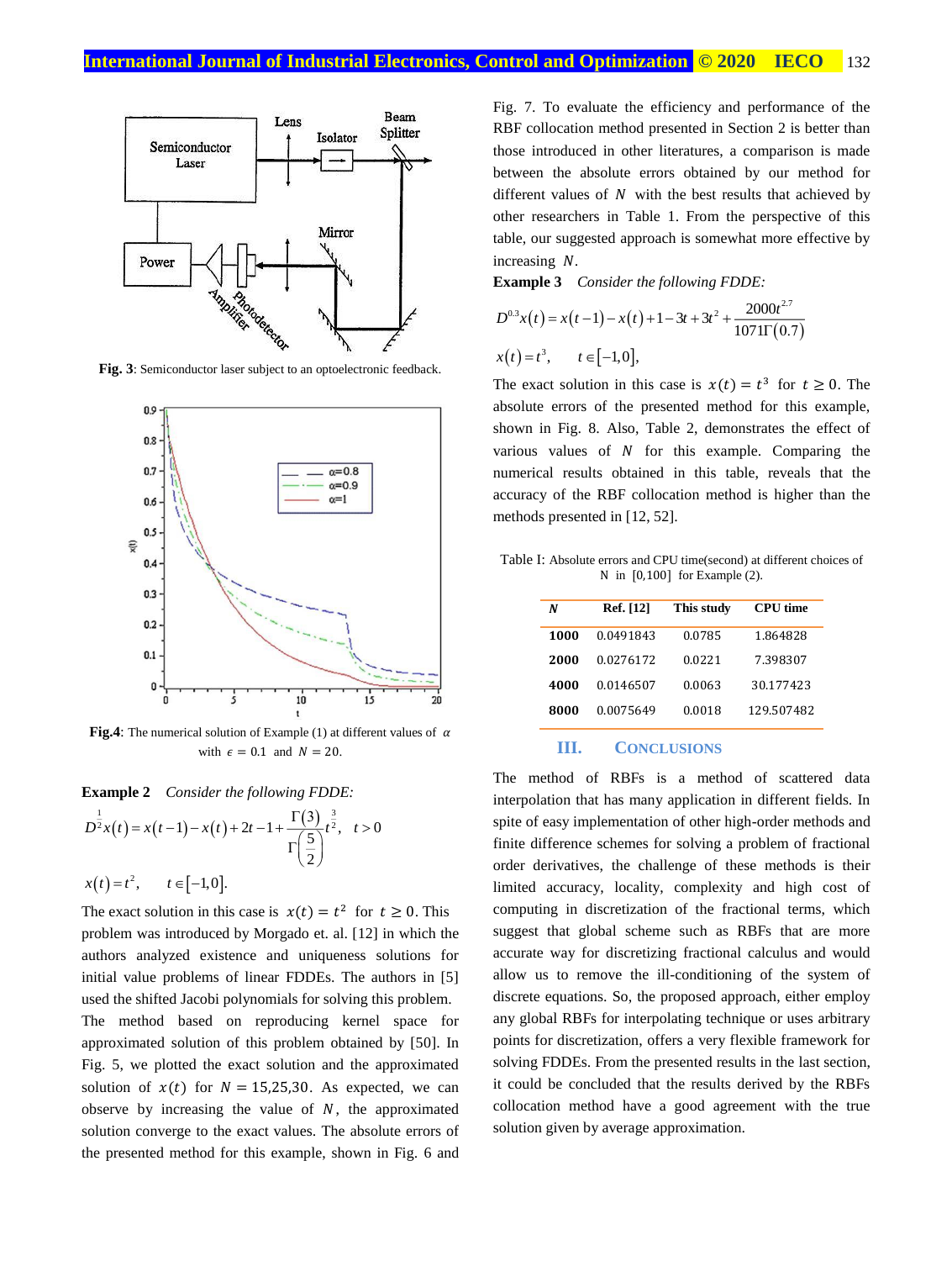

**Fig. 3**: Semiconductor laser subject to an optoelectronic feedback.



**Fig.4**: The numerical solution of Example (1) at different values of  $\alpha$ with  $\epsilon = 0.1$  and  $N = 20$ .

**Example 2** *Consider the following FDDE:*

$$
D^{\frac{1}{2}}x(t) = x(t-1) - x(t) + 2t - 1 + \frac{\Gamma(3)}{\Gamma(\frac{5}{2})}t^{\frac{3}{2}}, \quad t > 0
$$
  

$$
x(t) = t^2, \qquad t \in [-1, 0].
$$

The exact solution in this case is  $x(t) = t^2$  for  $t \ge 0$ . This problem was introduced by Morgado et. al. [12] in which the authors analyzed existence and uniqueness solutions for initial value problems of linear FDDEs. The authors in [5] used the shifted Jacobi polynomials for solving this problem.

The method based on reproducing kernel space for approximated solution of this problem obtained by [50]. In Fig. 5, we plotted the exact solution and the approximated solution of  $x(t)$  for  $N = 15,25,30$ . As expected, we can observe by increasing the value of  $N$ , the approximated solution converge to the exact values. The absolute errors of the presented method for this example, shown in Fig. 6 and Fig. 7. To evaluate the efficiency and performance of the RBF collocation method presented in Section 2 is better than those introduced in other literatures, a comparison is made between the absolute errors obtained by our method for different values of  $N$  with the best results that achieved by other researchers in Table 1. From the perspective of this table, our suggested approach is somewhat more effective by increasing  $N$ .

**Example 3** *Consider the following FDDE:* 

$$
D^{0.3}x(t) = x(t-1) - x(t) + 1 - 3t + 3t^2 + \frac{2000t^{2.7}}{1071\Gamma(0.7)}
$$
  

$$
x(t) = t^3, \qquad t \in [-1, 0],
$$

The exact solution in this case is  $x(t) = t^3$  for  $t \ge 0$ . The absolute errors of the presented method for this example, shown in Fig. 8. Also, Table 2, demonstrates the effect of various values of  $N$  for this example. Comparing the numerical results obtained in this table, reveals that the accuracy of the RBF collocation method is higher than the methods presented in [12, 52].

Table I: Absolute errors and CPU time(second) at different choices of N in [0,100] for Example (2).

| N    | Ref. [12] | This study | <b>CPU</b> time |
|------|-----------|------------|-----------------|
| 1000 | 0.0491843 | 0.0785     | 1.864828        |
| 2000 | 0.0276172 | 0.0221     | 7.398307        |
| 4000 | 0.0146507 | 0.0063     | 30.177423       |
| 8000 | 0.0075649 | 0.0018     | 129.507482      |

#### **III. CONCLUSIONS**

The method of RBFs is a method of scattered data interpolation that has many application in different fields. In spite of easy implementation of other high-order methods and finite difference schemes for solving a problem of fractional order derivatives, the challenge of these methods is their limited accuracy, locality, complexity and high cost of computing in discretization of the fractional terms, which suggest that global scheme such as RBFs that are more accurate way for discretizing fractional calculus and would allow us to remove the ill-conditioning of the system of discrete equations. So, the proposed approach, either employ any global RBFs for interpolating technique or uses arbitrary points for discretization, offers a very flexible framework for solving FDDEs. From the presented results in the last section, it could be concluded that the results derived by the RBFs collocation method have a good agreement with the true solution given by average approximation.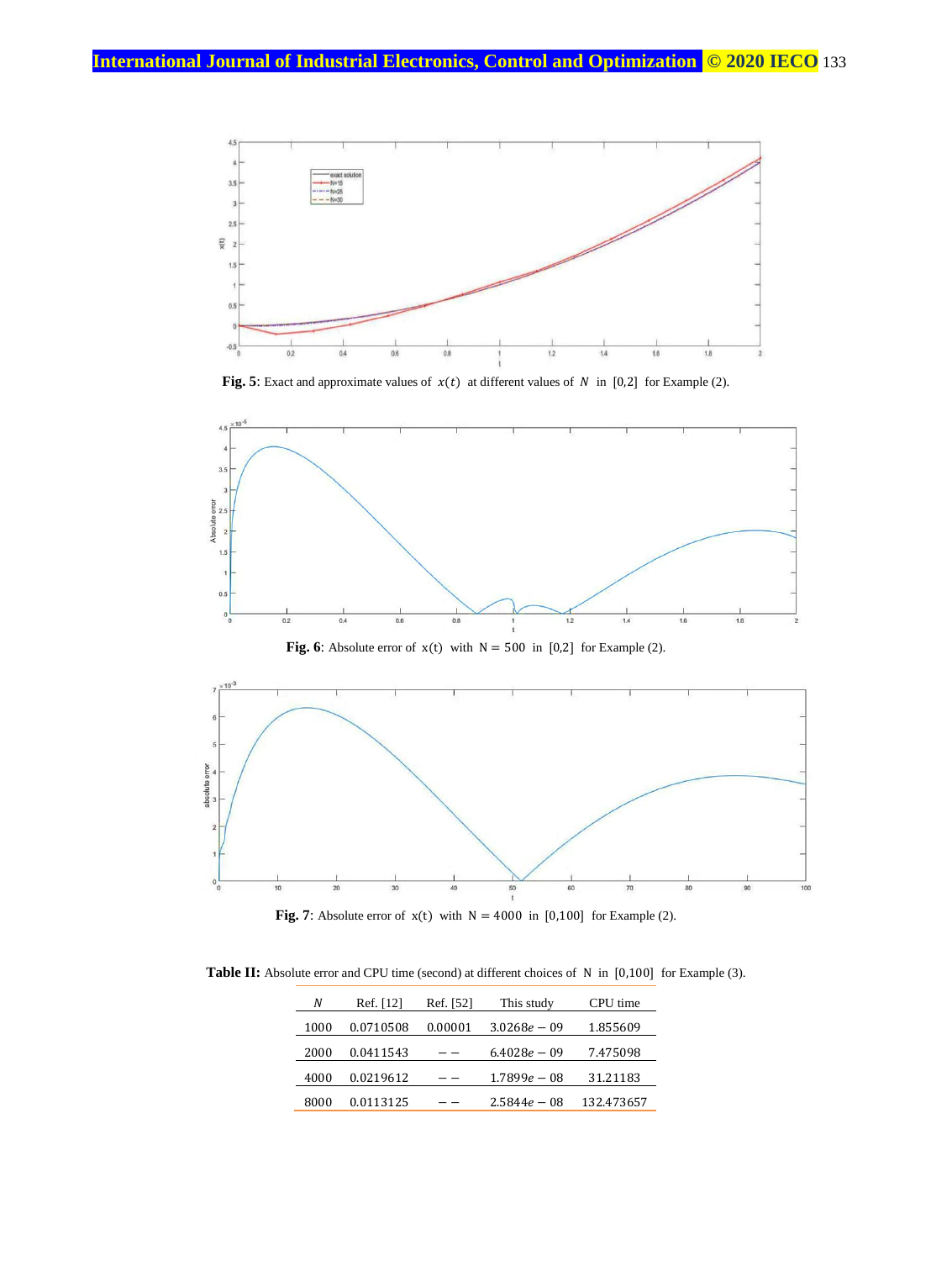

**Fig.** 5: Exact and approximate values of  $x(t)$  at different values of  $N$  in [0,2] for Example (2).



**Fig. 6:** Absolute error of  $x(t)$  with  $N = 500$  in [0,2] for Example (2).



**Fig. 7:** Absolute error of  $x(t)$  with  $N = 4000$  in [0,100] for Example (2).

Table II: Absolute error and CPU time (second) at different choices of N in [0,100] for Example (3).

| N    | Ref. [12] | Ref. [52] | This study     | CPU time   |
|------|-----------|-----------|----------------|------------|
| 1000 | 0.0710508 | 0.00001   | $3.0268e - 09$ | 1.855609   |
| 2000 | 0.0411543 |           | $6.4028e - 09$ | 7.475098   |
| 4000 | 0.0219612 |           | $1.7899e - 08$ | 31.21183   |
| 8000 | 0.0113125 |           | $2.5844e - 08$ | 132.473657 |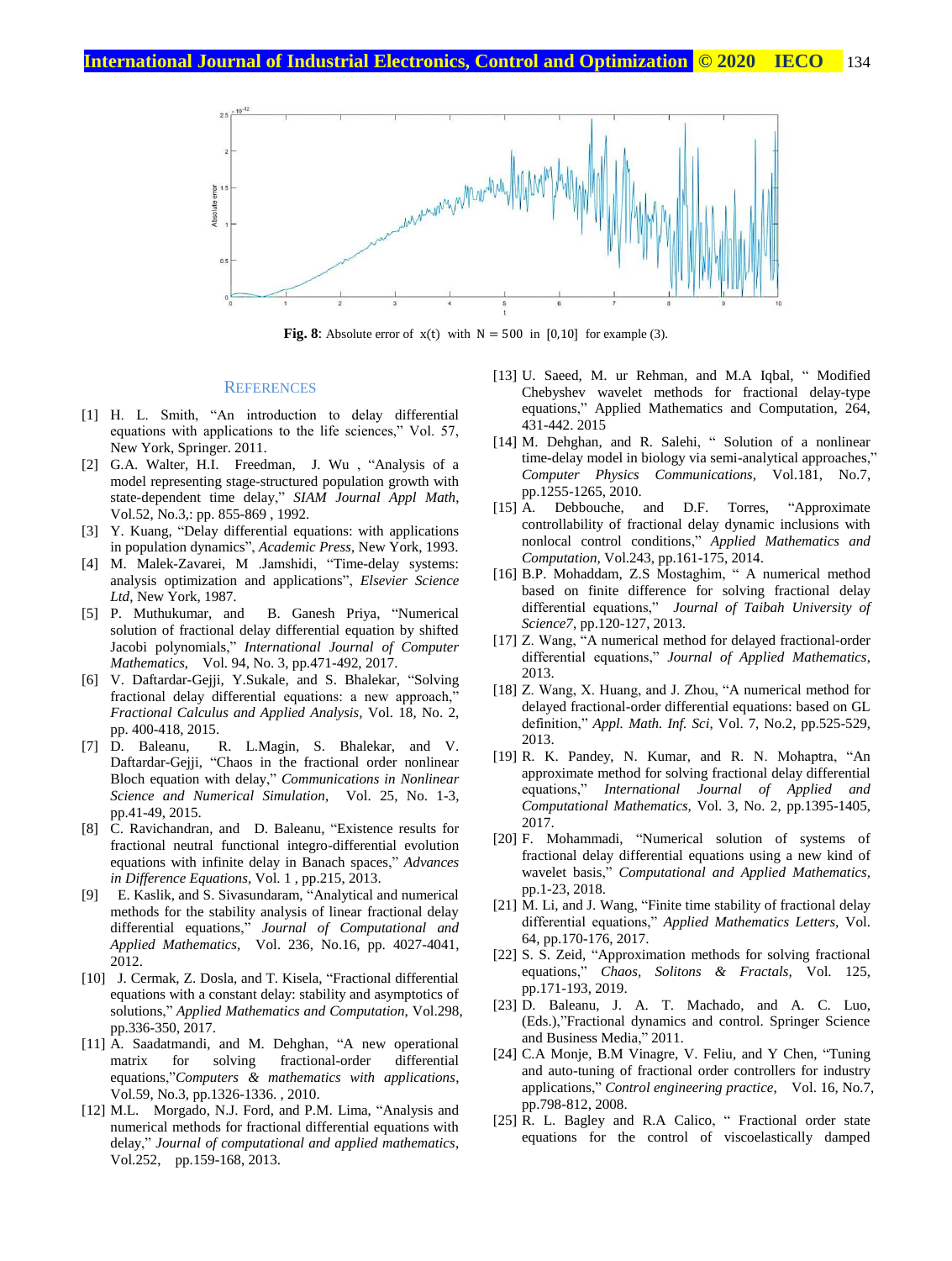

**Fig. 8**: Absolute error of  $x(t)$  with  $N = 500$  in [0,10] for example (3).

#### **REFERENCES**

- [1] H. L. Smith, "An introduction to delay differential equations with applications to the life sciences," Vol. 57, New York, Springer. 2011.
- [2] G.A. Walter, H.I. Freedman, J. Wu , "Analysis of a model representing stage-structured population growth with state-dependent time delay," *SIAM Journal Appl Math*, Vol.52, No.3,: pp. 855-869 , 1992.
- [3] Y. Kuang, "Delay differential equations: with applications in population dynamics", *Academic Press*, New York, 1993.
- [4] M. Malek-Zavarei, M .Jamshidi, "Time-delay systems: analysis optimization and applications", *Elsevier Science Ltd*, New York, 1987.<br>[5] P. Muthukumar, and
- B. Ganesh Priya, "Numerical solution of fractional delay differential equation by shifted Jacobi polynomials," *International Journal of Computer Mathematics*, Vol. 94, No. 3, pp.471-492, 2017.
- [6] V. Daftardar-Gejji, Y.Sukale, and S. Bhalekar, "Solving fractional delay differential equations: a new approach, *Fractional Calculus and Applied Analysis,* Vol. 18, No. 2, pp. 400-418, 2015.
- [7] D. Baleanu, R. L.Magin, S. Bhalekar, and V. Daftardar-Gejji, "Chaos in the fractional order nonlinear Bloch equation with delay," *Communications in Nonlinear Science and Numerical Simulation*, Vol. 25, No. 1-3, pp.41-49, 2015.
- [8] C. Ravichandran, and D. Baleanu, "Existence results for fractional neutral functional integro-differential evolution equations with infinite delay in Banach spaces," *Advances in Difference Equations*, Vol. 1 , pp.215, 2013.
- [9] E. Kaslik, and S. Sivasundaram, "Analytical and numerical methods for the stability analysis of linear fractional delay differential equations," *Journal of Computational and Applied Mathematics*, Vol. 236, No.16, pp. 4027-4041, 2012.
- [10] J. Cermak, Z. Dosla, and T. Kisela, "Fractional differential equations with a constant delay: stability and asymptotics of solutions," *Applied Mathematics and Computation*, Vol.298, pp.336-350, 2017.
- [11] A. Saadatmandi, and M. Dehghan, "A new operational matrix for solving fractional-order differential equations,"*Computers & mathematics with applications*, Vol.59, No.3, pp.1326-1336. , 2010.
- [12] M.L. Morgado, N.J. Ford, and P.M. Lima, "Analysis and numerical methods for fractional differential equations with delay," *Journal of computational and applied mathematics*, Vol.252, pp.159-168, 2013.
- [13] U. Saeed, M. ur Rehman, and M.A Iqbal, " Modified Chebyshev wavelet methods for fractional delay-type equations," Applied Mathematics and Computation, 264, 431-442. 2015
- [14] M. Dehghan, and R. Salehi, "Solution of a nonlinear time-delay model in biology via semi-analytical approaches," *Computer Physics Communications,* Vol.181, No.7, pp.1255-1265, 2010.
- [15] A. Debbouche, and D.F. Torres, "Approximate controllability of fractional delay dynamic inclusions with nonlocal control conditions," *Applied Mathematics and Computation,* Vol.243, pp.161-175, 2014.
- [16] B.P. Mohaddam, Z.S Mostaghim, " A numerical method based on finite difference for solving fractional delay differential equations," *Journal of Taibah University of Science7*, pp.120-127, 2013.
- [17] Z. Wang, "A numerical method for delayed fractional-order differential equations," *Journal of Applied Mathematics*, 2013.
- [18] Z. Wang, X. Huang, and J. Zhou, "A numerical method for delayed fractional-order differential equations: based on GL definition," *Appl. Math. Inf. Sci*, Vol. 7, No.2, pp.525-529, 2013.
- [19] R. K. Pandey, N. Kumar, and R. N. Mohaptra, "An approximate method for solving fractional delay differential equations," *International Journal of Applied and Computational Mathematics,* Vol. 3, No. 2, pp.1395-1405, 2017.
- [20] F. Mohammadi, "Numerical solution of systems of fractional delay differential equations using a new kind of wavelet basis," *Computational and Applied Mathematics,* pp.1-23, 2018.
- [21] M. Li, and J. Wang, "Finite time stability of fractional delay differential equations," *Applied Mathematics Letters,* Vol. 64, pp.170-176, 2017.
- [22] S. S. Zeid, "Approximation methods for solving fractional equations," *Chaos, Solitons & Fractals,* Vol. 125, pp.171-193, 2019.
- [23] D. Baleanu, J. A. T. Machado, and A. C. Luo, (Eds.),"Fractional dynamics and control. Springer Science and Business Media," 2011.
- [24] C.A Monje, B.M Vinagre, V. Feliu, and Y Chen, "Tuning and auto-tuning of fractional order controllers for industry applications," *Control engineering practice*, Vol. 16, No.7, pp.798-812, 2008.
- [25] R. L. Bagley and R.A Calico, "Fractional order state equations for the control of viscoelastically damped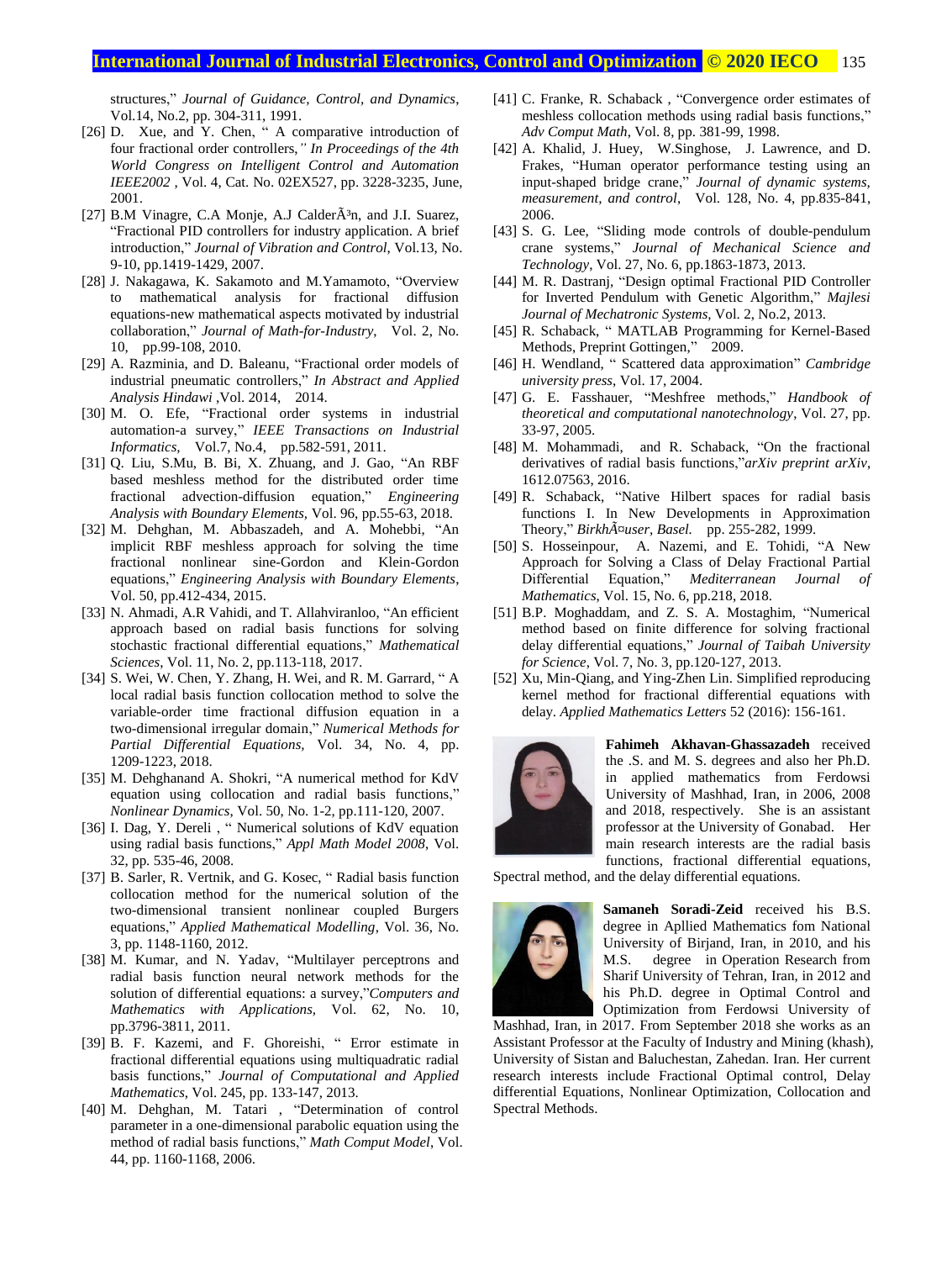#### **International Journal of Industrial Electronics, Control and Optimization .© 2020 IECO…** 135

structures," *Journal of Guidance, Control, and Dynamics*, Vol.14, No.2, pp. 304-311, 1991.

- [26] D. Xue, and Y. Chen, " A comparative introduction of four fractional order controllers,*" In Proceedings of the 4th World Congress on Intelligent Control and Automation IEEE2002* , Vol. 4, Cat. No. 02EX527, pp. 3228-3235, June, 2001.
- [27] B.M Vinagre, C.A Monje, A.J Calder $\tilde{A}$ <sup>3</sup>n, and J.I. Suarez, "Fractional PID controllers for industry application. A brief introduction," *Journal of Vibration and Control*, Vol.13, No. 9-10, pp.1419-1429, 2007.
- [28] J. Nakagawa, K. Sakamoto and M.Yamamoto, "Overview to mathematical analysis for fractional diffusion equations-new mathematical aspects motivated by industrial collaboration," *Journal of Math-for-Industry*, Vol. 2, No. 10, pp.99-108, 2010.
- [29] A. Razminia, and D. Baleanu, "Fractional order models of industrial pneumatic controllers," *In Abstract and Applied Analysis Hindawi* ,Vol. 2014, 2014.
- [30] M. O. Efe, "Fractional order systems in industrial automation-a survey," *IEEE Transactions on Industrial Informatics,* Vol.7, No.4, pp.582-591, 2011.
- [31] Q. Liu, S.Mu, B. Bi, X. Zhuang, and J. Gao, "An RBF based meshless method for the distributed order time fractional advection-diffusion equation," *Engineering Analysis with Boundary Elements,* Vol. 96, pp.55-63, 2018.
- [32] M. Dehghan, M. Abbaszadeh, and A. Mohebbi, "An implicit RBF meshless approach for solving the time fractional nonlinear sine-Gordon and Klein-Gordon equations," *Engineering Analysis with Boundary Elements*, Vol. 50, pp.412-434, 2015.
- [33] N. Ahmadi, A.R Vahidi, and T. Allahviranloo, "An efficient approach based on radial basis functions for solving stochastic fractional differential equations," *Mathematical Sciences*, Vol. 11, No. 2, pp.113-118, 2017.
- [34] S. Wei, W. Chen, Y. Zhang, H. Wei, and R. M. Garrard, "A local radial basis function collocation method to solve the variable-order time fractional diffusion equation in a two-dimensional irregular domain," *Numerical Methods for Partial Differential Equations,* Vol. 34, No. 4, pp. 1209-1223, 2018.
- [35] M. Dehghanand A. Shokri, "A numerical method for KdV equation using collocation and radial basis functions," *Nonlinear Dynamics*, Vol. 50, No. 1-2, pp.111-120, 2007.
- [36] I. Dag, Y. Dereli, " Numerical solutions of KdV equation using radial basis functions," *Appl Math Model 2008*, Vol. 32, pp. 535-46, 2008.
- [37] B. Sarler, R. Vertnik, and G. Kosec, " Radial basis function collocation method for the numerical solution of the two-dimensional transient nonlinear coupled Burgers equations," *Applied Mathematical Modelling*, Vol. 36, No. 3, pp. 1148-1160, 2012.
- [38] M. Kumar, and N. Yadav, "Multilayer perceptrons and radial basis function neural network methods for the solution of differential equations: a survey,"*Computers and Mathematics with Applications,* Vol. 62, No. 10, pp.3796-3811, 2011.
- [39] B. F. Kazemi, and F. Ghoreishi, " Error estimate in fractional differential equations using multiquadratic radial basis functions," *Journal of Computational and Applied Mathematics*, Vol. 245, pp. 133-147, 2013.
- [40] M. Dehghan, M. Tatari , "Determination of control parameter in a one-dimensional parabolic equation using the method of radial basis functions," *Math Comput Model*, Vol. 44, pp. 1160-1168, 2006.
- [41] C. Franke, R. Schaback, "Convergence order estimates of meshless collocation methods using radial basis functions," *Adv Comput Math*, Vol. 8, pp. 381-99, 1998.
- [42] A. Khalid, J. Huey, W.Singhose, J. Lawrence, and D. Frakes, "Human operator performance testing using an input-shaped bridge crane," *Journal of dynamic systems, measurement, and control*, Vol. 128, No. 4, pp.835-841, 2006.
- [43] S. G. Lee, "Sliding mode controls of double-pendulum crane systems," *Journal of Mechanical Science and Technology*, Vol. 27, No. 6, pp.1863-1873, 2013.
- [44] M. R. Dastranj, "Design optimal Fractional PID Controller for Inverted Pendulum with Genetic Algorithm," *Majlesi Journal of Mechatronic Systems,* Vol. 2, No.2, 2013.
- [45] R. Schaback, " MATLAB Programming for Kernel-Based Methods, Preprint Gottingen," 2009.
- [46] H. Wendland, " Scattered data approximation" *Cambridge university press*, Vol. 17, 2004.
- [47] G. E. Fasshauer, "Meshfree methods," *Handbook of theoretical and computational nanotechnology*, Vol. 27, pp. 33-97, 2005.
- [48] M. Mohammadi, and R. Schaback, "On the fractional derivatives of radial basis functions,"*arXiv preprint arXiv*, 1612.07563, 2016.
- [49] R. Schaback, "Native Hilbert spaces for radial basis functions I. In New Developments in Approximation Theory," *Birkhäuser, Basel.* pp. 255-282, 1999.
- [50] S. Hosseinpour, A. Nazemi, and E. Tohidi, "A New Approach for Solving a Class of Delay Fractional Partial Differential Equation," *Mediterranean Journal of Mathematics*, Vol. 15, No. 6, pp.218, 2018.
- [51] B.P. Moghaddam, and Z. S. A. Mostaghim, "Numerical method based on finite difference for solving fractional delay differential equations," *Journal of Taibah University for Science*, Vol. 7, No. 3, pp.120-127, 2013.
- [52] Xu, Min-Qiang, and Ying-Zhen Lin. Simplified reproducing kernel method for fractional differential equations with delay. *Applied Mathematics Letters* 52 (2016): 156-161.



**Fahimeh Akhavan-Ghassazadeh** received the .S. and M. S. degrees and also her Ph.D. in applied mathematics from Ferdowsi University of Mashhad, Iran, in 2006, 2008 and 2018, respectively. She is an assistant professor at the University of Gonabad. Her main research interests are the radial basis functions, fractional differential equations,

Spectral method, and the delay differential equations.



**Samaneh Soradi-Zeid** received his B.S. degree in Apllied Mathematics fom National University of Birjand, Iran, in 2010, and his M.S. degree in Operation Research from Sharif University of Tehran, Iran, in 2012 and his Ph.D. degree in Optimal Control and Optimization from Ferdowsi University of

Mashhad, Iran, in 2017. From September 2018 she works as an Assistant Professor at the Faculty of Industry and Mining (khash), University of Sistan and Baluchestan, Zahedan. Iran. Her current research interests include Fractional Optimal control, Delay differential Equations, Nonlinear Optimization, Collocation and Spectral Methods.